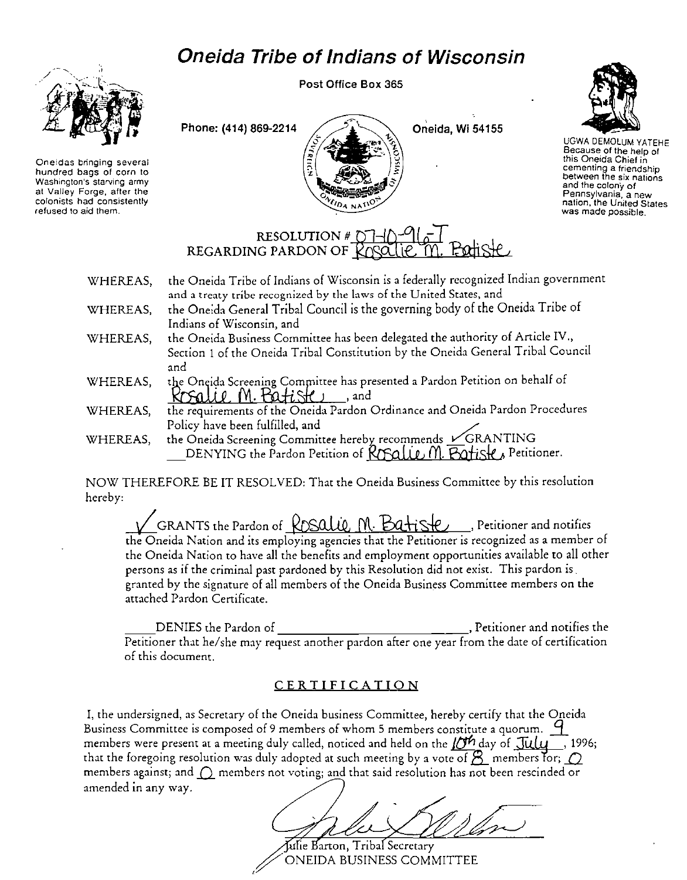## **Oneida Tribe of Indians of Wisconsin**



**Oneidas bringing several hundred bags of corn to Washington's starving army at Valley Forge, after the colonists had consistently refused to aid them.** 

Post Office Box 365





UGWA DEMOLUM YATEHE Because of the help of this Oneida Chief in **cementing a friendship between the six nations and the colony of**  Pennsylvania, a new nation, the United States<br>was made possible.

## RESOLUTION #  $\cap$ REGARDING PARDON OF ROSO

| WHEREAS, | the Oneida Tribe of Indians of Wisconsin is a federally recognized Indian government |
|----------|--------------------------------------------------------------------------------------|
|          | and a treaty tribe recognized by the laws of the United States, and                  |
| WHEREAS, | the Oneida General Tribal Council is the governing body of the Oneida Tribe of       |
|          | Indians of Wisconsin, and                                                            |
| WHEREAS, | the Oneida Business Committee has been delegated the authority of Article IV.,       |
|          | Section 1 of the Oneida Tribal Constitution by the Oneida General Tribal Council     |
|          | and                                                                                  |
| WHEREAS, | the Oneida Screening Committee has presented a Pardon Petition on behalf of          |
|          | Krsalle M. Batiste<br>and, and                                                       |
| WHEREAS, | the requirements of the Oneida Pardon Ordinance and Oneida Pardon Procedures         |
|          | Policy have been fulfilled, and                                                      |
| WHEREAS, | the Oneida Screening Committee hereby recommends $\check{\mathscr{C}}$ GRANTING      |
|          | DENYING the Pardon Petition of ROSQUE M. Batiste, Petitioner.                        |

NOW THEREFORE BE IT RESOL YEO: That the Oneida Business Committee by this resolution hereby:

GRANTS the Pardon of ROSALLE M.  $\mathsf{Bad}$   $\mathsf{R}_2$ , Petitioner and notifies the Oneida Nation and its employing agencies that the Petitioner is recognized as a member of the Oneida Nation to have all the benefits and employment opportunities available to all other persons as if the criminal past pardoned by this Resolution did not exist. This pardon is. granted by the signature of all members of the Oneida Business Committee members on the attached Pardon Certificate.

DENIES the Pardon of , Petitioner and notifies the , Petitioner and notifies the Petitioner that he/she may request another pardon after one year from the date of certification of this document.

## CERTIFICATION

I, the undersigned, as Secretary of the Oneida business Committee, hereby certify that the Oneida Business Committee is composed of 9 members of whom 5 members constitute a quorum. <sup>9</sup> members were present at a meeting duly called, noticed and held on the  $\overline{DT}$  day of  $\overline{July}$ , 1996; that the foregoing resolution was duly adopted at such meeting by a vote of  $\overline{B}$  members for;  $\overline{O}$ **members against; and**  $\bigcirc$  **members not voting; and that said resolution has not been rescinded or** amended in any way.

Julie Barton, Tribal Secretary ONEIDA BUSINESS COMMITTEE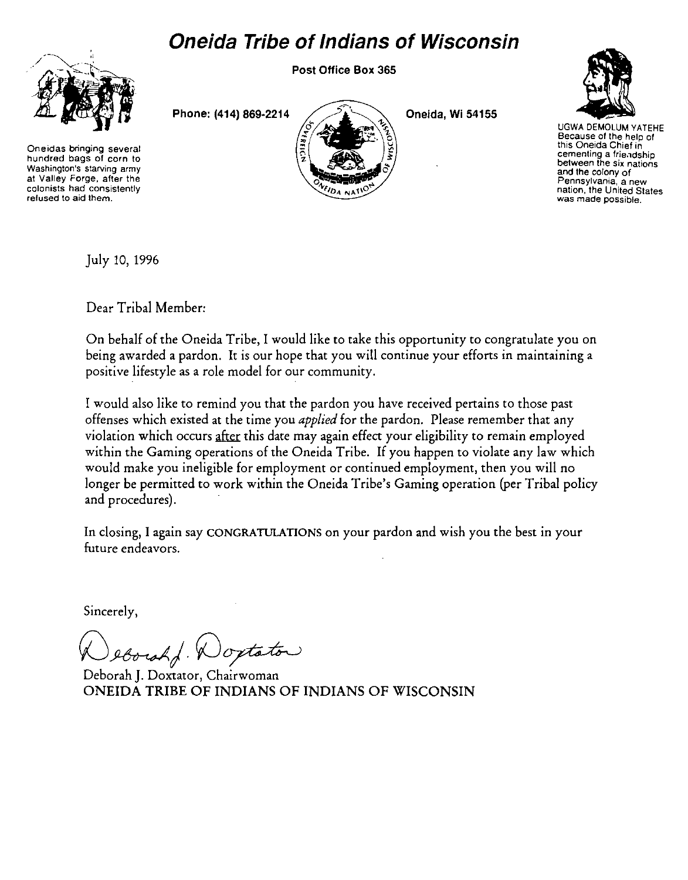## **Oneida Tribe of Indians of Wisconsin**



**Oneidas bringing several hundred bags of corn to Washington's starving army at Valley Forge, after the colonists had consistently refused to aid them.** 

Post Office Box 365

Phone: (414) 869·2214



Oneida, Wi 54155



UGWA DEMOLUM YATEHE **Because of the help of this Oneida Chief in cementing a frie.ldship between the six nations and the colony of Pennsylvania, a new nation, the United States was made possible.** 

July 10, 1996

Dear Tribal Member:

On behalf of the Oneida Tribe, I would like to take this opportunity to congratulate you on being awarded a pardon. It is our hope that you will continue your efforts in maintaining a positive lifestyle as a role model for our community.

I would also like to remind you that the pardon you have received pertains to those past offenses which existed at the time you *applied* for the pardon. Please remember that any violation which occurs after this date may again effect your eligibility to remain employed within the Gaming operations of the Oneida Tribe. If you happen to violate any law which would make you ineligible for employment or continued employment, then you will no longer be permitted to work within the Oneida Tribe's Gaming operation (per Tribal policy and procedures).

In closing, I again say CONGRATULATIONS on your pardon and wish you the best in your future endeavors.

Sincerely,

 $)$ optator

Deborah J. Doxtator, Chairwoman ONEIDA TRIBE OF INDIANS OF INDIANS OF WISCONSIN